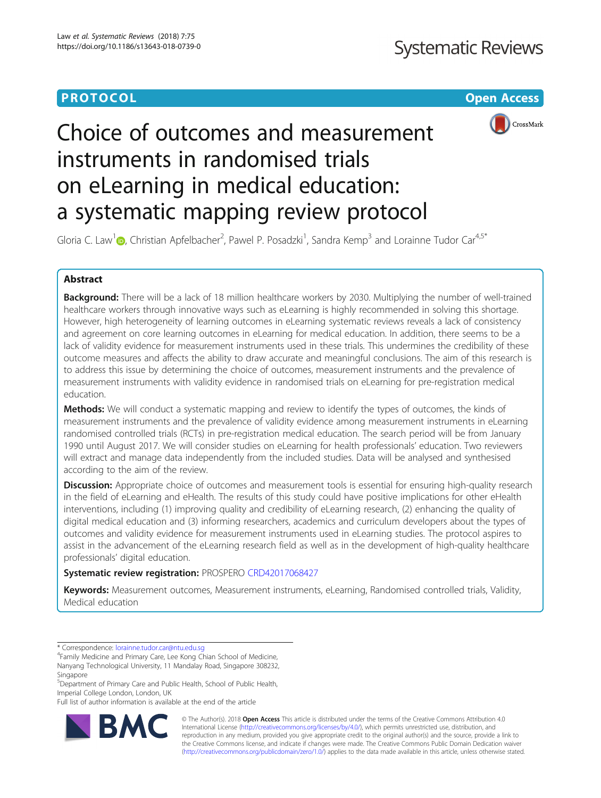## **PROTOCOL CONSUMING THE CONSUMING TEACHER CONSUMING THE CONSUMING TEACHER CONSUMING THE CONSUMING TEACHER CONSUMING**



# Choice of outcomes and measurement instruments in randomised trials on eLearning in medical education: a systematic mapping review protocol

Gloria C. Law<sup>[1](http://orcid.org/0000-0001-6531-2863)</sup> (D., Christian Apfelbacher<sup>2</sup>, Pawel P. Posadzki<sup>1</sup>, Sandra Kemp<sup>3</sup> and Lorainne Tudor Car<sup>4,5\*</sup>

## Abstract

Background: There will be a lack of 18 million healthcare workers by 2030. Multiplying the number of well-trained healthcare workers through innovative ways such as eLearning is highly recommended in solving this shortage. However, high heterogeneity of learning outcomes in eLearning systematic reviews reveals a lack of consistency and agreement on core learning outcomes in eLearning for medical education. In addition, there seems to be a lack of validity evidence for measurement instruments used in these trials. This undermines the credibility of these outcome measures and affects the ability to draw accurate and meaningful conclusions. The aim of this research is to address this issue by determining the choice of outcomes, measurement instruments and the prevalence of measurement instruments with validity evidence in randomised trials on eLearning for pre-registration medical education.

**Methods:** We will conduct a systematic mapping and review to identify the types of outcomes, the kinds of measurement instruments and the prevalence of validity evidence among measurement instruments in eLearning randomised controlled trials (RCTs) in pre-registration medical education. The search period will be from January 1990 until August 2017. We will consider studies on eLearning for health professionals' education. Two reviewers will extract and manage data independently from the included studies. Data will be analysed and synthesised according to the aim of the review.

Discussion: Appropriate choice of outcomes and measurement tools is essential for ensuring high-quality research in the field of eLearning and eHealth. The results of this study could have positive implications for other eHealth interventions, including (1) improving quality and credibility of eLearning research, (2) enhancing the quality of digital medical education and (3) informing researchers, academics and curriculum developers about the types of outcomes and validity evidence for measurement instruments used in eLearning studies. The protocol aspires to assist in the advancement of the eLearning research field as well as in the development of high-quality healthcare professionals' digital education.

## Systematic review registration: PROSPERO [CRD42017068427](http://www.crd.york.ac.uk/PROSPERO/display_record.php?ID=CRD42017068427)

Keywords: Measurement outcomes, Measurement instruments, eLearning, Randomised controlled trials, Validity, Medical education

Full list of author information is available at the end of the article



© The Author(s). 2018 Open Access This article is distributed under the terms of the Creative Commons Attribution 4.0 International License [\(http://creativecommons.org/licenses/by/4.0/](http://creativecommons.org/licenses/by/4.0/)), which permits unrestricted use, distribution, and reproduction in any medium, provided you give appropriate credit to the original author(s) and the source, provide a link to the Creative Commons license, and indicate if changes were made. The Creative Commons Public Domain Dedication waiver [\(http://creativecommons.org/publicdomain/zero/1.0/](http://creativecommons.org/publicdomain/zero/1.0/)) applies to the data made available in this article, unless otherwise stated.

<sup>\*</sup> Correspondence: [lorainne.tudor.car@ntu.edu.sg](mailto:lorainne.tudor.car@ntu.edu.sg) <sup>4</sup>

Family Medicine and Primary Care, Lee Kong Chian School of Medicine, Nanyang Technological University, 11 Mandalay Road, Singapore 308232, Singapore

<sup>&</sup>lt;sup>5</sup>Department of Primary Care and Public Health, School of Public Health, Imperial College London, London, UK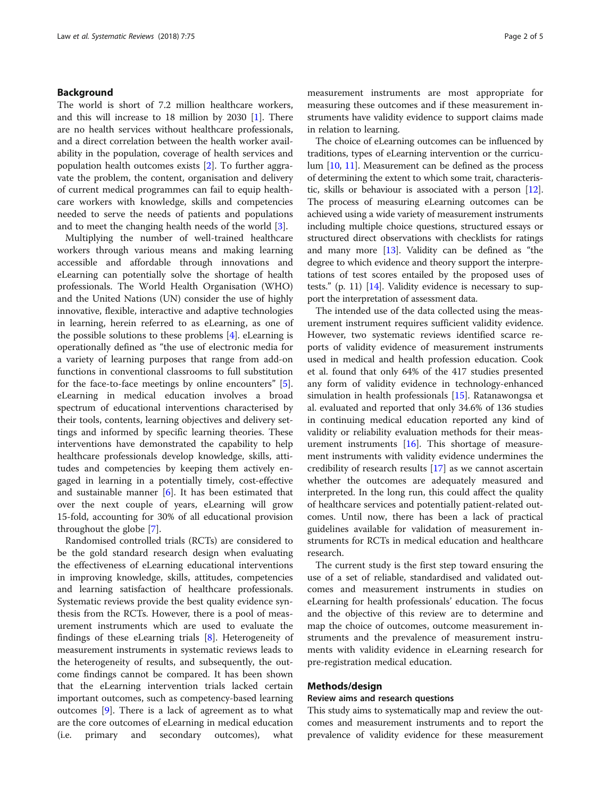## Background

The world is short of 7.2 million healthcare workers, and this will increase to 18 million by 2030 [[1\]](#page-4-0). There are no health services without healthcare professionals, and a direct correlation between the health worker availability in the population, coverage of health services and population health outcomes exists [[2\]](#page-4-0). To further aggravate the problem, the content, organisation and delivery of current medical programmes can fail to equip healthcare workers with knowledge, skills and competencies needed to serve the needs of patients and populations and to meet the changing health needs of the world [\[3](#page-4-0)].

Multiplying the number of well-trained healthcare workers through various means and making learning accessible and affordable through innovations and eLearning can potentially solve the shortage of health professionals. The World Health Organisation (WHO) and the United Nations (UN) consider the use of highly innovative, flexible, interactive and adaptive technologies in learning, herein referred to as eLearning, as one of the possible solutions to these problems [[4](#page-4-0)]. eLearning is operationally defined as "the use of electronic media for a variety of learning purposes that range from add-on functions in conventional classrooms to full substitution for the face-to-face meetings by online encounters" [\[5](#page-4-0)]. eLearning in medical education involves a broad spectrum of educational interventions characterised by their tools, contents, learning objectives and delivery settings and informed by specific learning theories. These interventions have demonstrated the capability to help healthcare professionals develop knowledge, skills, attitudes and competencies by keeping them actively engaged in learning in a potentially timely, cost-effective and sustainable manner  $[6]$  $[6]$ . It has been estimated that over the next couple of years, eLearning will grow 15-fold, accounting for 30% of all educational provision throughout the globe [[7\]](#page-4-0).

Randomised controlled trials (RCTs) are considered to be the gold standard research design when evaluating the effectiveness of eLearning educational interventions in improving knowledge, skills, attitudes, competencies and learning satisfaction of healthcare professionals. Systematic reviews provide the best quality evidence synthesis from the RCTs. However, there is a pool of measurement instruments which are used to evaluate the findings of these eLearning trials [[8\]](#page-4-0). Heterogeneity of measurement instruments in systematic reviews leads to the heterogeneity of results, and subsequently, the outcome findings cannot be compared. It has been shown that the eLearning intervention trials lacked certain important outcomes, such as competency-based learning outcomes [[9\]](#page-4-0). There is a lack of agreement as to what are the core outcomes of eLearning in medical education (i.e. primary and secondary outcomes), what

measurement instruments are most appropriate for measuring these outcomes and if these measurement instruments have validity evidence to support claims made in relation to learning.

The choice of eLearning outcomes can be influenced by traditions, types of eLearning intervention or the curriculum [[10,](#page-4-0) [11\]](#page-4-0). Measurement can be defined as the process of determining the extent to which some trait, characteristic, skills or behaviour is associated with a person [[12](#page-4-0)]. The process of measuring eLearning outcomes can be achieved using a wide variety of measurement instruments including multiple choice questions, structured essays or structured direct observations with checklists for ratings and many more [[13](#page-4-0)]. Validity can be defined as "the degree to which evidence and theory support the interpretations of test scores entailed by the proposed uses of tests." (p. 11) [[14](#page-4-0)]. Validity evidence is necessary to support the interpretation of assessment data.

The intended use of the data collected using the measurement instrument requires sufficient validity evidence. However, two systematic reviews identified scarce reports of validity evidence of measurement instruments used in medical and health profession education. Cook et al. found that only 64% of the 417 studies presented any form of validity evidence in technology-enhanced simulation in health professionals [[15\]](#page-4-0). Ratanawongsa et al. evaluated and reported that only 34.6% of 136 studies in continuing medical education reported any kind of validity or reliability evaluation methods for their measurement instruments [[16](#page-4-0)]. This shortage of measurement instruments with validity evidence undermines the credibility of research results [[17](#page-4-0)] as we cannot ascertain whether the outcomes are adequately measured and interpreted. In the long run, this could affect the quality of healthcare services and potentially patient-related outcomes. Until now, there has been a lack of practical guidelines available for validation of measurement instruments for RCTs in medical education and healthcare research.

The current study is the first step toward ensuring the use of a set of reliable, standardised and validated outcomes and measurement instruments in studies on eLearning for health professionals' education. The focus and the objective of this review are to determine and map the choice of outcomes, outcome measurement instruments and the prevalence of measurement instruments with validity evidence in eLearning research for pre-registration medical education.

## Methods/design

#### Review aims and research questions

This study aims to systematically map and review the outcomes and measurement instruments and to report the prevalence of validity evidence for these measurement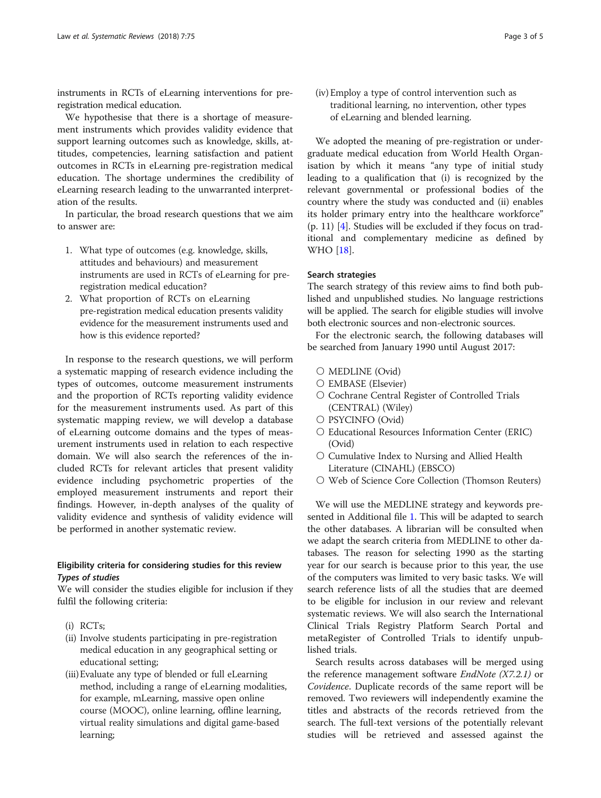instruments in RCTs of eLearning interventions for preregistration medical education.

We hypothesise that there is a shortage of measurement instruments which provides validity evidence that support learning outcomes such as knowledge, skills, attitudes, competencies, learning satisfaction and patient outcomes in RCTs in eLearning pre-registration medical education. The shortage undermines the credibility of eLearning research leading to the unwarranted interpretation of the results.

In particular, the broad research questions that we aim to answer are:

- 1. What type of outcomes (e.g. knowledge, skills, attitudes and behaviours) and measurement instruments are used in RCTs of eLearning for preregistration medical education?
- 2. What proportion of RCTs on eLearning pre-registration medical education presents validity evidence for the measurement instruments used and how is this evidence reported?

In response to the research questions, we will perform a systematic mapping of research evidence including the types of outcomes, outcome measurement instruments and the proportion of RCTs reporting validity evidence for the measurement instruments used. As part of this systematic mapping review, we will develop a database of eLearning outcome domains and the types of measurement instruments used in relation to each respective domain. We will also search the references of the included RCTs for relevant articles that present validity evidence including psychometric properties of the employed measurement instruments and report their findings. However, in-depth analyses of the quality of validity evidence and synthesis of validity evidence will be performed in another systematic review.

## Eligibility criteria for considering studies for this review Types of studies

We will consider the studies eligible for inclusion if they fulfil the following criteria:

- (i) RCTs;
- (ii) Involve students participating in pre-registration medical education in any geographical setting or educational setting;
- (iii)Evaluate any type of blended or full eLearning method, including a range of eLearning modalities, for example, mLearning, massive open online course (MOOC), online learning, offline learning, virtual reality simulations and digital game-based learning;

(iv) Employ a type of control intervention such as traditional learning, no intervention, other types of eLearning and blended learning.

We adopted the meaning of pre-registration or undergraduate medical education from World Health Organisation by which it means "any type of initial study leading to a qualification that (i) is recognized by the relevant governmental or professional bodies of the country where the study was conducted and (ii) enables its holder primary entry into the healthcare workforce" (p. 11) [\[4](#page-4-0)]. Studies will be excluded if they focus on traditional and complementary medicine as defined by WHO [[18\]](#page-4-0).

#### Search strategies

The search strategy of this review aims to find both published and unpublished studies. No language restrictions will be applied. The search for eligible studies will involve both electronic sources and non-electronic sources.

For the electronic search, the following databases will be searched from January 1990 until August 2017:

- MEDLINE (Ovid)
- EMBASE (Elsevier)
- Cochrane Central Register of Controlled Trials (CENTRAL) (Wiley)
- PSYCINFO (Ovid)
- Educational Resources Information Center (ERIC) (Ovid)
- Cumulative Index to Nursing and Allied Health Literature (CINAHL) (EBSCO)
- Web of Science Core Collection (Thomson Reuters)

We will use the MEDLINE strategy and keywords presented in Additional file [1.](#page-3-0) This will be adapted to search the other databases. A librarian will be consulted when we adapt the search criteria from MEDLINE to other databases. The reason for selecting 1990 as the starting year for our search is because prior to this year, the use of the computers was limited to very basic tasks. We will search reference lists of all the studies that are deemed to be eligible for inclusion in our review and relevant systematic reviews. We will also search the International Clinical Trials Registry Platform Search Portal and metaRegister of Controlled Trials to identify unpublished trials.

Search results across databases will be merged using the reference management software  $EndNote (X7.2.1)$  or Covidence. Duplicate records of the same report will be removed. Two reviewers will independently examine the titles and abstracts of the records retrieved from the search. The full-text versions of the potentially relevant studies will be retrieved and assessed against the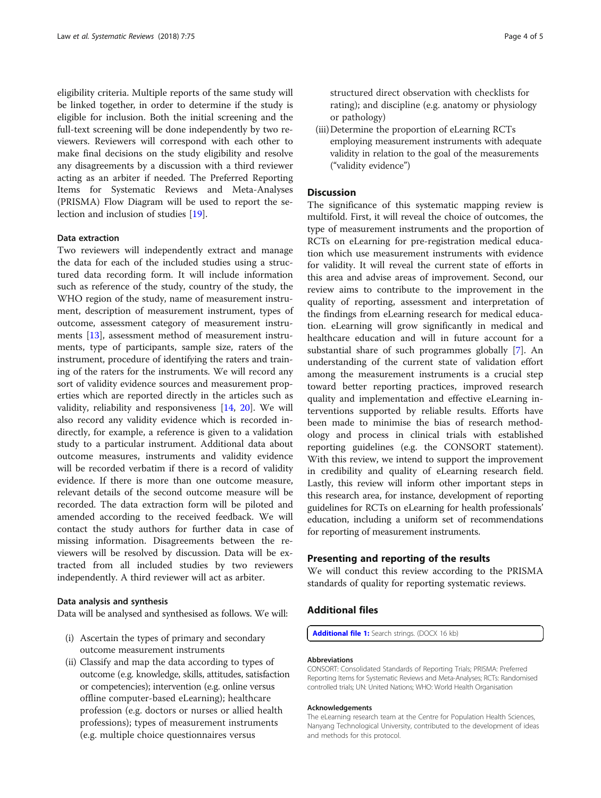<span id="page-3-0"></span>eligibility criteria. Multiple reports of the same study will be linked together, in order to determine if the study is eligible for inclusion. Both the initial screening and the full-text screening will be done independently by two reviewers. Reviewers will correspond with each other to make final decisions on the study eligibility and resolve any disagreements by a discussion with a third reviewer acting as an arbiter if needed. The Preferred Reporting Items for Systematic Reviews and Meta-Analyses (PRISMA) Flow Diagram will be used to report the selection and inclusion of studies [[19](#page-4-0)].

#### Data extraction

Two reviewers will independently extract and manage the data for each of the included studies using a structured data recording form. It will include information such as reference of the study, country of the study, the WHO region of the study, name of measurement instrument, description of measurement instrument, types of outcome, assessment category of measurement instruments [[13\]](#page-4-0), assessment method of measurement instruments, type of participants, sample size, raters of the instrument, procedure of identifying the raters and training of the raters for the instruments. We will record any sort of validity evidence sources and measurement properties which are reported directly in the articles such as validity, reliability and responsiveness [[14,](#page-4-0) [20\]](#page-4-0). We will also record any validity evidence which is recorded indirectly, for example, a reference is given to a validation study to a particular instrument. Additional data about outcome measures, instruments and validity evidence will be recorded verbatim if there is a record of validity evidence. If there is more than one outcome measure, relevant details of the second outcome measure will be recorded. The data extraction form will be piloted and amended according to the received feedback. We will contact the study authors for further data in case of missing information. Disagreements between the reviewers will be resolved by discussion. Data will be extracted from all included studies by two reviewers independently. A third reviewer will act as arbiter.

#### Data analysis and synthesis

Data will be analysed and synthesised as follows. We will:

- (i) Ascertain the types of primary and secondary outcome measurement instruments
- (ii) Classify and map the data according to types of outcome (e.g. knowledge, skills, attitudes, satisfaction or competencies); intervention (e.g. online versus offline computer-based eLearning); healthcare profession (e.g. doctors or nurses or allied health professions); types of measurement instruments (e.g. multiple choice questionnaires versus

structured direct observation with checklists for rating); and discipline (e.g. anatomy or physiology or pathology)

(iii)Determine the proportion of eLearning RCTs employing measurement instruments with adequate validity in relation to the goal of the measurements ("validity evidence")

#### **Discussion**

The significance of this systematic mapping review is multifold. First, it will reveal the choice of outcomes, the type of measurement instruments and the proportion of RCTs on eLearning for pre-registration medical education which use measurement instruments with evidence for validity. It will reveal the current state of efforts in this area and advise areas of improvement. Second, our review aims to contribute to the improvement in the quality of reporting, assessment and interpretation of the findings from eLearning research for medical education. eLearning will grow significantly in medical and healthcare education and will in future account for a substantial share of such programmes globally [\[7](#page-4-0)]. An understanding of the current state of validation effort among the measurement instruments is a crucial step toward better reporting practices, improved research quality and implementation and effective eLearning interventions supported by reliable results. Efforts have been made to minimise the bias of research methodology and process in clinical trials with established reporting guidelines (e.g. the CONSORT statement). With this review, we intend to support the improvement in credibility and quality of eLearning research field. Lastly, this review will inform other important steps in this research area, for instance, development of reporting guidelines for RCTs on eLearning for health professionals' education, including a uniform set of recommendations for reporting of measurement instruments.

#### Presenting and reporting of the results

We will conduct this review according to the PRISMA standards of quality for reporting systematic reviews.

#### Additional files

[Additional file 1:](https://doi.org/10.1186/s13643-018-0739-0) Search strings. (DOCX 16 kb)

#### Abbreviations

CONSORT: Consolidated Standards of Reporting Trials; PRISMA: Preferred Reporting Items for Systematic Reviews and Meta-Analyses; RCTs: Randomised controlled trials; UN: United Nations; WHO: World Health Organisation

#### Acknowledgements

The eLearning research team at the Centre for Population Health Sciences, Nanyang Technological University, contributed to the development of ideas and methods for this protocol.